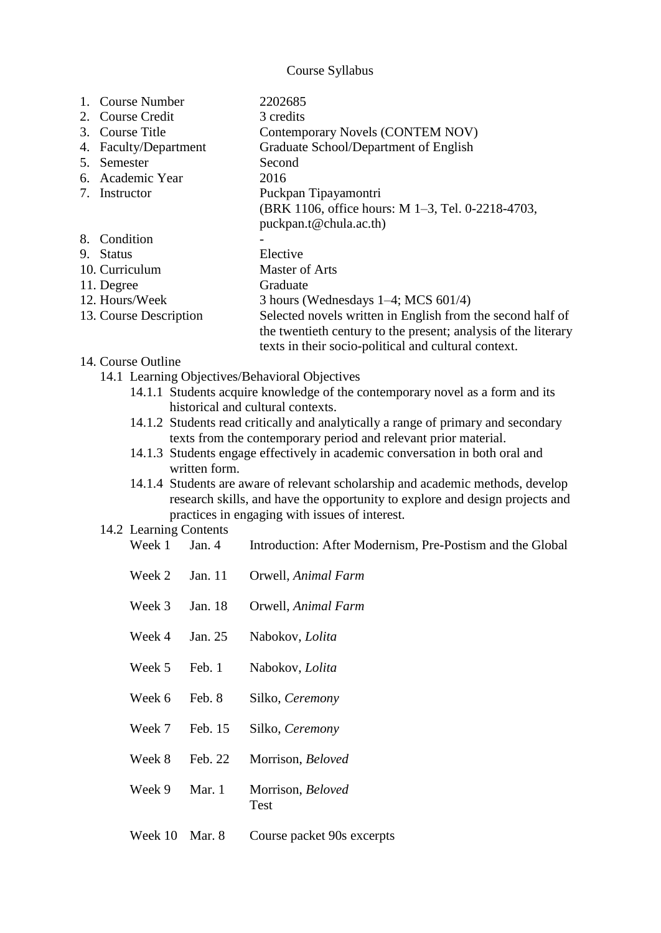Course Syllabus

| 1. Course Number<br>2. Course Credit<br>3. Course Title<br>4. Faculty/Department<br>5. Semester<br>6. Academic Year<br>7. Instructor |                                                                                                                                                                 | 2202685<br>3 credits<br>Contemporary Novels (CONTEM NOV)<br>Graduate School/Department of English<br>Second<br>2016<br>Puckpan Tipayamontri<br>(BRK 1106, office hours: M 1–3, Tel. 0-2218-4703,<br>puckpan.t@chula.ac.th) |
|--------------------------------------------------------------------------------------------------------------------------------------|-----------------------------------------------------------------------------------------------------------------------------------------------------------------|----------------------------------------------------------------------------------------------------------------------------------------------------------------------------------------------------------------------------|
| 8. Condition                                                                                                                         |                                                                                                                                                                 |                                                                                                                                                                                                                            |
| 9. Status                                                                                                                            |                                                                                                                                                                 | Elective                                                                                                                                                                                                                   |
| 10. Curriculum                                                                                                                       |                                                                                                                                                                 | <b>Master of Arts</b>                                                                                                                                                                                                      |
| 11. Degree<br>12. Hours/Week                                                                                                         |                                                                                                                                                                 | Graduate<br>3 hours (Wednesdays $1-4$ ; MCS 601/4)                                                                                                                                                                         |
| 13. Course Description                                                                                                               |                                                                                                                                                                 | Selected novels written in English from the second half of                                                                                                                                                                 |
|                                                                                                                                      |                                                                                                                                                                 | the twentieth century to the present; analysis of the literary                                                                                                                                                             |
|                                                                                                                                      |                                                                                                                                                                 | texts in their socio-political and cultural context.                                                                                                                                                                       |
| 14. Course Outline                                                                                                                   |                                                                                                                                                                 |                                                                                                                                                                                                                            |
|                                                                                                                                      |                                                                                                                                                                 | 14.1 Learning Objectives/Behavioral Objectives<br>14.1.1 Students acquire knowledge of the contemporary novel as a form and its                                                                                            |
|                                                                                                                                      |                                                                                                                                                                 | historical and cultural contexts.                                                                                                                                                                                          |
|                                                                                                                                      |                                                                                                                                                                 | 14.1.2 Students read critically and analytically a range of primary and secondary                                                                                                                                          |
|                                                                                                                                      |                                                                                                                                                                 | texts from the contemporary period and relevant prior material.                                                                                                                                                            |
|                                                                                                                                      |                                                                                                                                                                 | 14.1.3 Students engage effectively in academic conversation in both oral and                                                                                                                                               |
|                                                                                                                                      | written form.                                                                                                                                                   |                                                                                                                                                                                                                            |
|                                                                                                                                      | 14.1.4 Students are aware of relevant scholarship and academic methods, develop<br>research skills, and have the opportunity to explore and design projects and |                                                                                                                                                                                                                            |
|                                                                                                                                      |                                                                                                                                                                 | practices in engaging with issues of interest.                                                                                                                                                                             |
| 14.2 Learning Contents<br>Week 1                                                                                                     | Jan. $4$                                                                                                                                                        | Introduction: After Modernism, Pre-Postism and the Global                                                                                                                                                                  |
|                                                                                                                                      |                                                                                                                                                                 |                                                                                                                                                                                                                            |
| Week 2                                                                                                                               | Jan. 11                                                                                                                                                         | Orwell, Animal Farm                                                                                                                                                                                                        |
| Week 3                                                                                                                               | Jan. 18                                                                                                                                                         | Orwell, Animal Farm                                                                                                                                                                                                        |
| Week 4                                                                                                                               | Jan. 25                                                                                                                                                         | Nabokov, Lolita                                                                                                                                                                                                            |
| Week 5                                                                                                                               | Feb. 1                                                                                                                                                          | Nabokov, Lolita                                                                                                                                                                                                            |
| Week 6                                                                                                                               | Feb. 8                                                                                                                                                          | Silko, Ceremony                                                                                                                                                                                                            |
| Week 7                                                                                                                               | Feb. 15                                                                                                                                                         | Silko, Ceremony                                                                                                                                                                                                            |
| Week 8                                                                                                                               | Feb. 22                                                                                                                                                         | Morrison, Beloved                                                                                                                                                                                                          |

- Week 9 Mar. 1 Morrison, *Beloved* Test
- Week 10 Mar. 8 Course packet 90s excerpts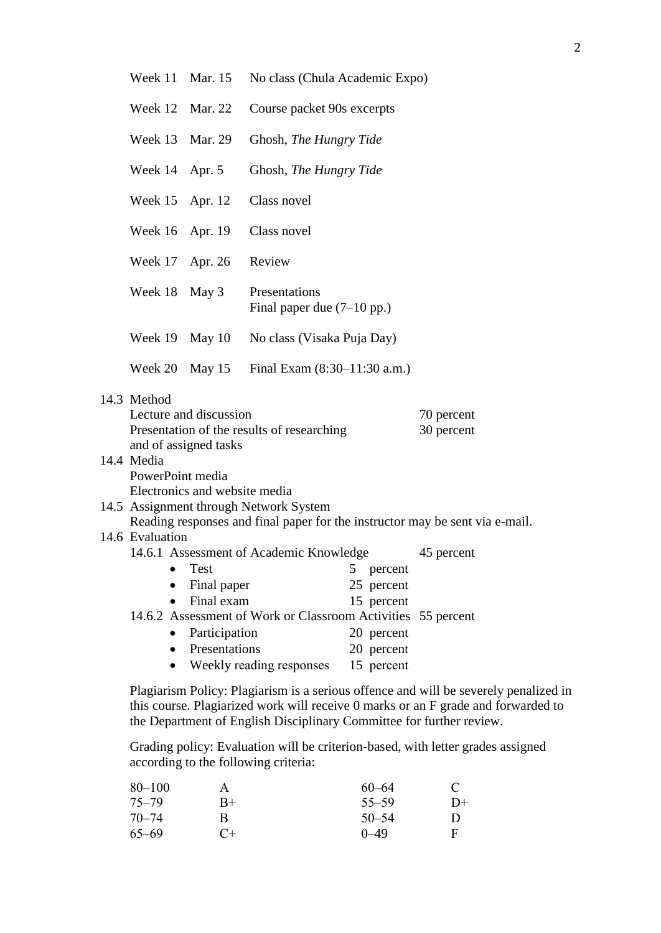| Week 11 Mar. 15 | No class (Chula Academic Expo) |
|-----------------|--------------------------------|
|-----------------|--------------------------------|

|  | Week 12 Mar. 22 Course packet 90s excerpts |
|--|--------------------------------------------|
|  |                                            |

- Week 13 Mar. 29 Ghosh, *The Hungry Tide*
- Week 14 Apr. 5 Ghosh, *The Hungry Tide*
- Week 15 Apr. 12 Class novel
- Week 16 Apr. 19 Class novel Week 17 Apr. 26 Review Week 18 May 3 Presentations Final paper due (7–10 pp.)
- Week 19 May 10 No class (Visaka Puja Day)
- Week 20 May 15 Final Exam (8:30–11:30 a.m.)
- 14.3 Method

| Lecture and discussion                     | 70 percent |
|--------------------------------------------|------------|
| Presentation of the results of researching | 30 percent |
| and of assigned tasks                      |            |
| 14.4 Media                                 |            |

## PowerPoint media Electronics and website media

## 14.5 Assignment through Network System Reading responses and final paper for the instructor may be sent via e-mail. 14.6 Evaluation 14.6.1 Assessment of Academic Knowledge 45 percent • Test 5 percent

- Final paper 25 percent • Final exam 15 percent
- 14.6.2 Assessment of Work or Classroom Activities 55 percent
	- Participation 20 percent
		- Presentations 20 percent
	- Weekly reading responses 15 percent

Plagiarism Policy: Plagiarism is a serious offence and will be severely penalized in this course. Plagiarized work will receive 0 marks or an F grade and forwarded to the Department of English Disciplinary Committee for further review.

Grading policy: Evaluation will be criterion-based, with letter grades assigned according to the following criteria:

| $80 - 100$ | A    | $60 - 64$ | $\mathcal{C}$ |
|------------|------|-----------|---------------|
| $75 - 79$  | $R+$ | $55 - 59$ | $D+$          |
| $70 - 74$  | R    | $50 - 54$ | Ð             |
| $65 - 69$  | $C+$ | $0 - 49$  | F             |